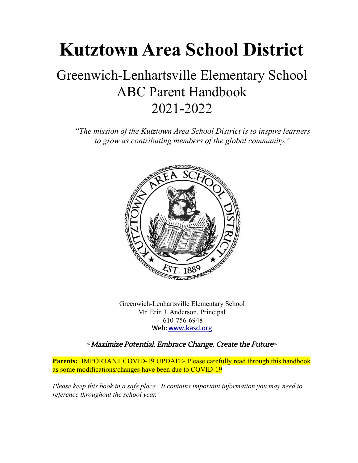## **Kutztown Area School District**

## Greenwich-Lenhartsville Elementary School ABC Parent Handbook 2021-2022

*"The mission of the Kutztown Area School District is to inspire learners to grow as contributing members of the global community."*



Greenwich-Lenhartsville Elementary School Mr. Erin J. Anderson, Principal 610-756-6948 Web: [www.kasd.org](http://www.kasd.org)

**~**Maximize Potential, Embrace Change, Create the Future**~**

**Parents:** IMPORTANT COVID-19 UPDATE- Please carefully read through this handbook as some modifications/changes have been due to COVID-19

*Please keep this book in a safe place. It contains important information you may need to reference throughout the school year.*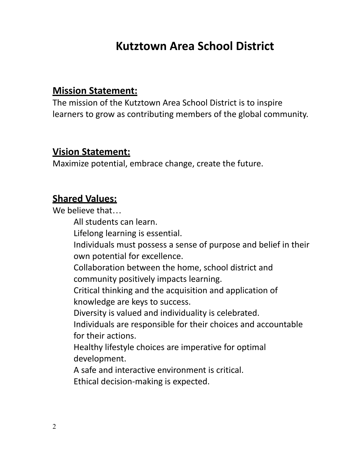## **Kutztown Area School District**

## **Mission Statement:**

The mission of the Kutztown Area School District is to inspire learners to grow as contributing members of the global community.

## **Vision Statement:**

Maximize potential, embrace change, create the future.

## **Shared Values:**

We believe that…

All students can learn.

Lifelong learning is essential.

Individuals must possess a sense of purpose and belief in their own potential for excellence.

Collaboration between the home, school district and community positively impacts learning.

Critical thinking and the acquisition and application of knowledge are keys to success.

Diversity is valued and individuality is celebrated.

Individuals are responsible for their choices and accountable for their actions.

Healthy lifestyle choices are imperative for optimal development.

A safe and interactive environment is critical.

Ethical decision-making is expected.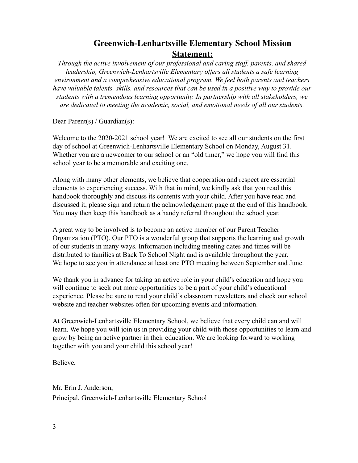### **Greenwich-Lenhartsville Elementary School Mission Statement:**

*Through the active involvement of our professional and caring staff, parents, and shared leadership, Greenwich-Lenhartsville Elementary offers all students a safe learning environment and a comprehensive educational program. We feel both parents and teachers have valuable talents, skills, and resources that can be used in a positive way to provide our students with a tremendous learning opportunity. In partnership with all stakeholders, we are dedicated to meeting the academic, social, and emotional needs of all our students.*

Dear Parent(s) / Guardian(s):

Welcome to the 2020-2021 school year! We are excited to see all our students on the first day of school at Greenwich-Lenhartsville Elementary School on Monday, August 31. Whether you are a newcomer to our school or an "old timer," we hope you will find this school year to be a memorable and exciting one.

Along with many other elements, we believe that cooperation and respect are essential elements to experiencing success. With that in mind, we kindly ask that you read this handbook thoroughly and discuss its contents with your child. After you have read and discussed it, please sign and return the acknowledgement page at the end of this handbook. You may then keep this handbook as a handy referral throughout the school year.

A great way to be involved is to become an active member of our Parent Teacher Organization (PTO). Our PTO is a wonderful group that supports the learning and growth of our students in many ways. Information including meeting dates and times will be distributed to families at Back To School Night and is available throughout the year. We hope to see you in attendance at least one PTO meeting between September and June.

We thank you in advance for taking an active role in your child's education and hope you will continue to seek out more opportunities to be a part of your child's educational experience. Please be sure to read your child's classroom newsletters and check our school website and teacher websites often for upcoming events and information.

At Greenwich-Lenhartsville Elementary School, we believe that every child can and will learn. We hope you will join us in providing your child with those opportunities to learn and grow by being an active partner in their education. We are looking forward to working together with you and your child this school year!

Believe,

Mr. Erin J. Anderson, Principal, Greenwich-Lenhartsville Elementary School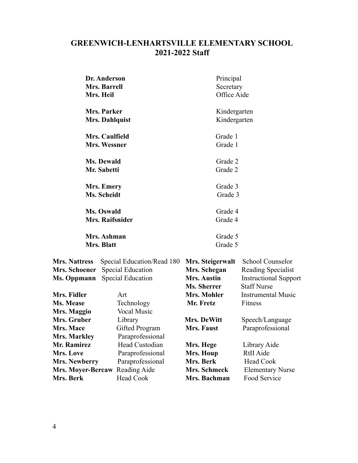## **GREENWICH-LENHARTSVILLE ELEMENTARY SCHOOL 2021-2022 Staff**

|                                                               | Dr. Anderson<br><b>Mrs. Barrell</b><br>Mrs. Heil                            | Principal<br>Secretary<br>Office Aide                                 |                                                                                                     |
|---------------------------------------------------------------|-----------------------------------------------------------------------------|-----------------------------------------------------------------------|-----------------------------------------------------------------------------------------------------|
|                                                               | Mrs. Parker<br><b>Mrs. Dahlquist</b>                                        | Kindergarten<br>Kindergarten                                          |                                                                                                     |
|                                                               | Mrs. Caulfield<br>Mrs. Wessner                                              | Grade 1<br>Grade 1                                                    |                                                                                                     |
|                                                               | <b>Ms. Dewald</b><br>Mr. Sabetti                                            | Grade 2<br>Grade 2                                                    |                                                                                                     |
|                                                               | <b>Mrs. Emery</b><br>Ms. Scheidt                                            | Grade 3<br>Grade 3                                                    |                                                                                                     |
| Ms. Oswald<br><b>Mrs. Raifsnider</b>                          |                                                                             | Grade 4<br>Grade 4                                                    |                                                                                                     |
|                                                               | Mrs. Ashman<br>Mrs. Blatt                                                   | Grade 5<br>Grade 5                                                    |                                                                                                     |
| <b>Mrs. Nattress</b><br>Mrs. Schoener<br>Ms. Oppmann          | Special Education/Read 180<br><b>Special Education</b><br>Special Education | Mrs. Steigerwalt<br>Mrs. Schegan<br><b>Mrs. Austin</b><br>Ms. Sherrer | <b>School Counselor</b><br>Reading Specialist<br><b>Instructional Support</b><br><b>Staff Nurse</b> |
| Mrs. Fidler<br>Ms. Mease<br>Mrs. Maggio                       | Art<br>Technology<br><b>Vocal Music</b>                                     | Mrs. Mohler<br>Mr. Fretz                                              | <b>Instrumental Music</b><br>Fitness                                                                |
| Mrs. Gruber<br><b>Mrs. Mace</b><br>Mrs. Markley               | Library<br>Gifted Program<br>Paraprofessional                               | Mrs. DeWitt<br><b>Mrs. Faust</b>                                      | Speech/Language<br>Paraprofessional                                                                 |
| Mr. Ramirez<br>Mrs. Love                                      | Head Custodian<br>Paraprofessional                                          | Mrs. Hege<br>Mrs. Houp                                                | Library Aide<br><b>RtII</b> Aide                                                                    |
| <b>Mrs. Newberry</b><br><b>Mrs. Moyer-Bercaw</b><br>Mrs. Berk | Paraprofessional<br>Reading Aide<br>Head Cook                               | Mrs. Berk<br>Mrs. Schmeck<br>Mrs. Bachman                             | <b>Head Cook</b><br><b>Elementary Nurse</b><br>Food Service                                         |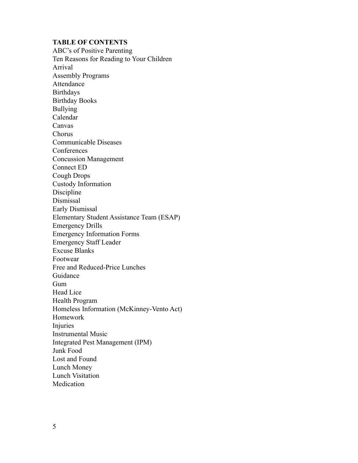#### **TABLE OF CONTENTS**

ABC's of Positive Parenting Ten Reasons for Reading to Your Children Arrival Assembly Programs Attendance **Birthdays** Birthday Books Bullying Calendar Canvas Chorus Communicable Diseases **Conferences** Concussion Management Connect ED Cough Drops Custody Information Discipline Dismissal Early Dismissal Elementary Student Assistance Team (ESAP) Emergency Drills Emergency Information Forms Emergency Staff Leader Excuse Blanks Footwear Free and Reduced-Price Lunches Guidance Gum Head Lice Health Program Homeless Information (McKinney-Vento Act) Homework Injuries Instrumental Music Integrated Pest Management (IPM) Junk Food Lost and Found Lunch Money Lunch Visitation Medication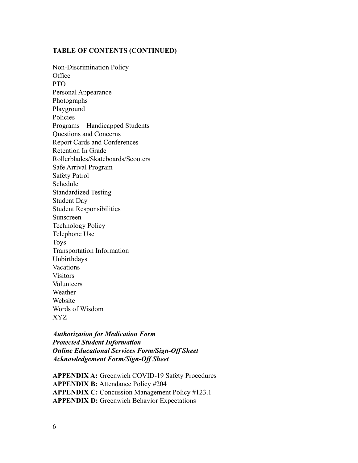#### **TABLE OF CONTENTS (CONTINUED)**

Non-Discrimination Policy Office PTO Personal Appearance Photographs Playground Policies Programs – Handicapped Students Questions and Concerns Report Cards and Conferences Retention In Grade Rollerblades/Skateboards/Scooters Safe Arrival Program Safety Patrol Schedule Standardized Testing Student Day Student Responsibilities Sunscreen Technology Policy Telephone Use Toys Transportation Information Unbirthdays Vacations Visitors Volunteers Weather Website Words of Wisdom XYZ

*Authorization for Medication Form Protected Student Information Online Educational Services Form/Sign-Off Sheet Acknowledgement Form/Sign-Off Sheet*

**APPENDIX A:** Greenwich COVID-19 Safety Procedures **APPENDIX B:** Attendance Policy #204 **APPENDIX C:** Concussion Management Policy #123.1 **APPENDIX D:** Greenwich Behavior Expectations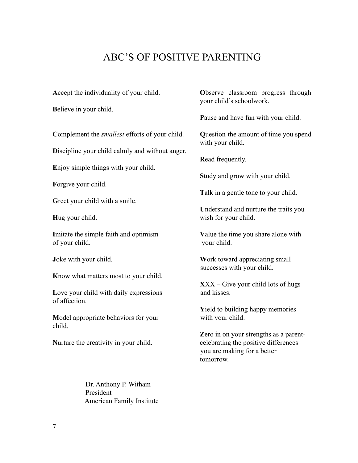## ABC'S OF POSITIVE PARENTING

**B**elieve in your child.

**C**omplement the *smallest* efforts of your child. **Q**uestion the amount of time you spend

**D**iscipline your child calmly and without anger.

**E**njoy simple things with your child.

**F**orgive your child.

Greet your child with a smile.

**I**mitate the simple faith and optimism **Value the time you share alone with** of your child. your child.

**K**now what matters most to your child.

Love your child with daily expressions and kisses. of affection.

**Model appropriate behaviors for your with your child.** child.

**Nurture the creativity in your child.** celebrating the positive differences

**A**ccept the individuality of your child. **O**bserve classroom progress through your child's schoolwork.

**P**ause and have fun with your child.

with your child.

**R**ead frequently.

**S**tudy and grow with your child.

**T**alk in a gentle tone to your child.

**U**nderstand and nurture the traits you **Hug** your child. wish for your child.

**Joke with your child. Work toward appreciating small** successes with your child.

**X**XX – Give your child lots of hugs

**Y**ield to building happy memories

**Z**ero in on your strengths as a parentyou are making for a better tomorrow.

Dr. Anthony P. Witham President American Family Institute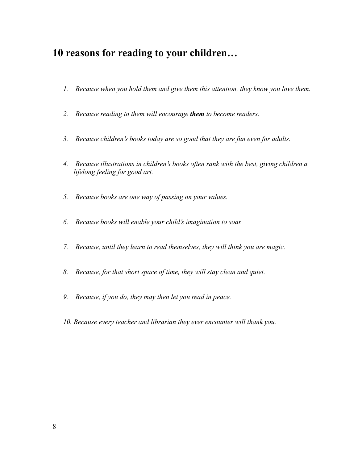## **10 reasons for reading to your children…**

- *1. Because when you hold them and give them this attention, they know you love them.*
- *2. Because reading to them will encourage them to become readers.*
- *3. Because children's books today are so good that they are fun even for adults.*
- *4. Because illustrations in children's books often rank with the best, giving children a lifelong feeling for good art.*
- *5. Because books are one way of passing on your values.*
- *6. Because books will enable your child's imagination to soar.*
- *7. Because, until they learn to read themselves, they will think you are magic.*
- *8. Because, for that short space of time, they will stay clean and quiet.*
- *9. Because, if you do, they may then let you read in peace.*
- *10. Because every teacher and librarian they ever encounter will thank you.*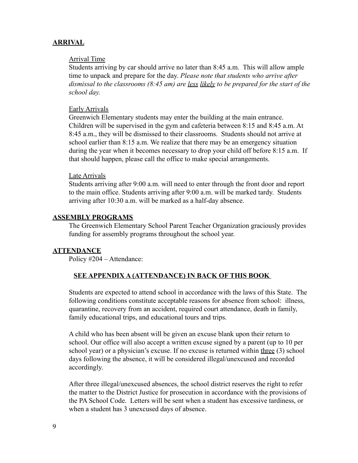#### **ARRIVAL**

#### Arrival Time

Students arriving by car should arrive no later than 8:45 a.m. This will allow ample time to unpack and prepare for the day. *Please note that students who arrive after dismissal to the classrooms (8:45 am) are less likely to be prepared for the start of the school day.*

#### Early Arrivals

Greenwich Elementary students may enter the building at the main entrance. Children will be supervised in the gym and cafeteria between 8:15 and 8:45 a.m. At 8:45 a.m., they will be dismissed to their classrooms. Students should not arrive at school earlier than 8:15 a.m. We realize that there may be an emergency situation during the year when it becomes necessary to drop your child off before 8:15 a.m. If that should happen, please call the office to make special arrangements.

#### Late Arrivals

Students arriving after 9:00 a.m. will need to enter through the front door and report to the main office. Students arriving after 9:00 a.m. will be marked tardy. Students arriving after 10:30 a.m. will be marked as a half-day absence.

#### **ASSEMBLY PROGRAMS**

The Greenwich Elementary School Parent Teacher Organization graciously provides funding for assembly programs throughout the school year.

#### **ATTENDANCE**

Policy #204 – Attendance:

#### **SEE APPENDIX A (ATTENDANCE) IN BACK OF THIS BOOK**

Students are expected to attend school in accordance with the laws of this State. The following conditions constitute acceptable reasons for absence from school: illness, quarantine, recovery from an accident, required court attendance, death in family, family educational trips, and educational tours and trips.

A child who has been absent will be given an excuse blank upon their return to school. Our office will also accept a written excuse signed by a parent (up to 10 per school year) or a physician's excuse. If no excuse is returned within three (3) school days following the absence, it will be considered illegal/unexcused and recorded accordingly.

After three illegal/unexcused absences, the school district reserves the right to refer the matter to the District Justice for prosecution in accordance with the provisions of the PA School Code. Letters will be sent when a student has excessive tardiness, or when a student has 3 unexcused days of absence.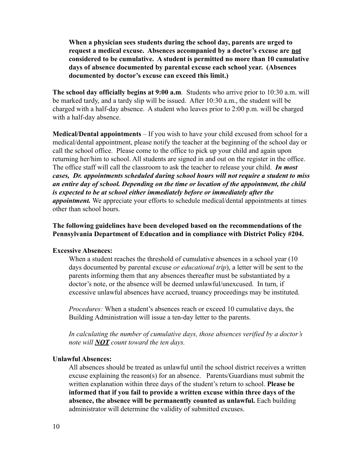**When a physician sees students during the school day, parents are urged to request a medical excuse. Absences accompanied by a doctor's excuse are not considered to be cumulative. A student is permitted no more than 10 cumulative days of absence documented by parental excuse each school year. (Absences documented by doctor's excuse can exceed this limit.)**

**The school day officially begins at 9:00 a.m**. Students who arrive prior to 10:30 a.m. will be marked tardy, and a tardy slip will be issued. After 10:30 a.m., the student will be charged with a half-day absence. A student who leaves prior to 2:00 p.m. will be charged with a half-day absence.

**Medical/Dental appointments** – If you wish to have your child excused from school for a medical/dental appointment, please notify the teacher at the beginning of the school day or call the school office. Please come to the office to pick up your child and again upon returning her/him to school. All students are signed in and out on the register in the office. The office staff will call the classroom to ask the teacher to release your child. *In most cases, Dr. appointments scheduled during school hours will not require a student to miss an entire day of school. Depending on the time or location of the appointment, the child is expected to be at school either immediately before or immediately after the appointment.* We appreciate your efforts to schedule medical/dental appointments at times other than school hours.

**The following guidelines have been developed based on the recommendations of the Pennsylvania Department of Education and in compliance with District Policy #204.**

#### **Excessive Absences:**

When a student reaches the threshold of cumulative absences in a school year (10) days documented by parental excuse *or educational trip*), a letter will be sent to the parents informing them that any absences thereafter must be substantiated by a doctor's note, or the absence will be deemed unlawful/unexcused. In turn, if excessive unlawful absences have accrued, truancy proceedings may be instituted.

*Procedures:* When a student's absences reach or exceed 10 cumulative days, the Building Administration will issue a ten-day letter to the parents.

*In calculating the number of cumulative days, those absences verified by a doctor's note will NOT count toward the ten days.*

#### **Unlawful Absences:**

All absences should be treated as unlawful until the school district receives a written excuse explaining the reason(s) for an absence. Parents/Guardians must submit the written explanation within three days of the student's return to school. **Please be informed that if you fail to provide a written excuse within three days of the absence, the absence will be permanently counted as unlawful.** Each building administrator will determine the validity of submitted excuses.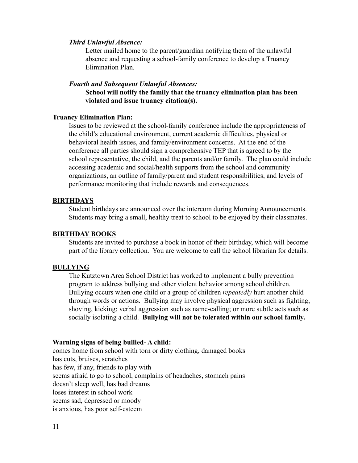#### *Third Unlawful Absence:*

Letter mailed home to the parent/guardian notifying them of the unlawful absence and requesting a school-family conference to develop a Truancy Elimination Plan.

#### *Fourth and Subsequent Unlawful Absences:*

**School will notify the family that the truancy elimination plan has been violated and issue truancy citation(s).**

#### **Truancy Elimination Plan:**

Issues to be reviewed at the school-family conference include the appropriateness of the child's educational environment, current academic difficulties, physical or behavioral health issues, and family/environment concerns. At the end of the conference all parties should sign a comprehensive TEP that is agreed to by the school representative, the child, and the parents and/or family. The plan could include accessing academic and social/health supports from the school and community organizations, an outline of family/parent and student responsibilities, and levels of performance monitoring that include rewards and consequences.

#### **BIRTHDAYS**

Student birthdays are announced over the intercom during Morning Announcements. Students may bring a small, healthy treat to school to be enjoyed by their classmates.

#### **BIRTHDAY BOOKS**

Students are invited to purchase a book in honor of their birthday, which will become part of the library collection. You are welcome to call the school librarian for details.

#### **BULLYING**

The Kutztown Area School District has worked to implement a bully prevention program to address bullying and other violent behavior among school children. Bullying occurs when one child or a group of children *repeatedly* hurt another child through words or actions. Bullying may involve physical aggression such as fighting, shoving, kicking; verbal aggression such as name-calling; or more subtle acts such as socially isolating a child. **Bullying will not be tolerated within our school family.**

#### **Warning signs of being bullied- A child:**

comes home from school with torn or dirty clothing, damaged books has cuts, bruises, scratches has few, if any, friends to play with seems afraid to go to school, complains of headaches, stomach pains doesn't sleep well, has bad dreams loses interest in school work seems sad, depressed or moody is anxious, has poor self-esteem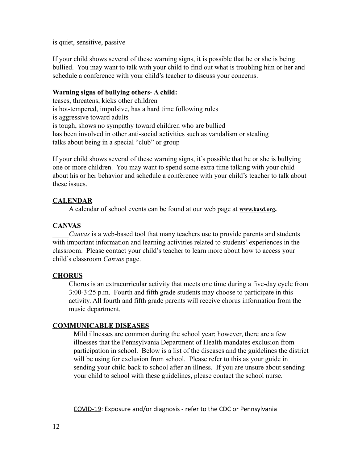is quiet, sensitive, passive

If your child shows several of these warning signs, it is possible that he or she is being bullied. You may want to talk with your child to find out what is troubling him or her and schedule a conference with your child's teacher to discuss your concerns.

#### **Warning signs of bullying others- A child:**

teases, threatens, kicks other children is hot-tempered, impulsive, has a hard time following rules is aggressive toward adults is tough, shows no sympathy toward children who are bullied has been involved in other anti-social activities such as vandalism or stealing talks about being in a special "club" or group

If your child shows several of these warning signs, it's possible that he or she is bullying one or more children. You may want to spend some extra time talking with your child about his or her behavior and schedule a conference with your child's teacher to talk about these issues.

#### **CALENDAR**

A calendar of school events can be found at our web page at **[www.kasd.org](http://www.kasd.org).**

#### **CANVAS**

*Canvas* is a web-based tool that many teachers use to provide parents and students with important information and learning activities related to students' experiences in the classroom. Please contact your child's teacher to learn more about how to access your child's classroom *Canvas* page.

#### **CHORUS**

Chorus is an extracurricular activity that meets one time during a five-day cycle from 3:00-3:25 p.m. Fourth and fifth grade students may choose to participate in this activity. All fourth and fifth grade parents will receive chorus information from the music department.

#### **COMMUNICABLE DISEASES**

Mild illnesses are common during the school year; however, there are a few illnesses that the Pennsylvania Department of Health mandates exclusion from participation in school. Below is a list of the diseases and the guidelines the district will be using for exclusion from school. Please refer to this as your guide in sending your child back to school after an illness. If you are unsure about sending your child to school with these guidelines, please contact the school nurse.

COVID-19: Exposure and/or diagnosis - refer to the CDC or Pennsylvania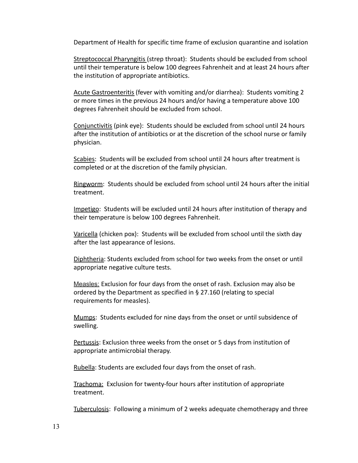Department of Health for specific time frame of exclusion quarantine and isolation

Streptococcal Pharyngitis (strep throat): Students should be excluded from school until their temperature is below 100 degrees Fahrenheit and at least 24 hours after the institution of appropriate antibiotics.

Acute Gastroenteritis (fever with vomiting and/or diarrhea): Students vomiting 2 or more times in the previous 24 hours and/or having a temperature above 100 degrees Fahrenheit should be excluded from school.

Conjunctivitis (pink eye): Students should be excluded from school until 24 hours after the institution of antibiotics or at the discretion of the school nurse or family physician.

Scabies: Students will be excluded from school until 24 hours after treatment is completed or at the discretion of the family physician.

Ringworm: Students should be excluded from school until 24 hours after the initial treatment.

Impetigo: Students will be excluded until 24 hours after institution of therapy and their temperature is below 100 degrees Fahrenheit.

Varicella (chicken pox): Students will be excluded from school until the sixth day after the last appearance of lesions.

Diphtheria: Students excluded from school for two weeks from the onset or until appropriate negative culture tests.

Measles: Exclusion for four days from the onset of rash. Exclusion may also be ordered by the Department as specified in § 27.160 (relating to special requirements for measles).

Mumps: Students excluded for nine days from the onset or until subsidence of swelling.

Pertussis: Exclusion three weeks from the onset or 5 days from institution of appropriate antimicrobial therapy.

Rubella: Students are excluded four days from the onset of rash.

Trachoma: Exclusion for twenty-four hours after institution of appropriate treatment.

Tuberculosis: Following a minimum of 2 weeks adequate chemotherapy and three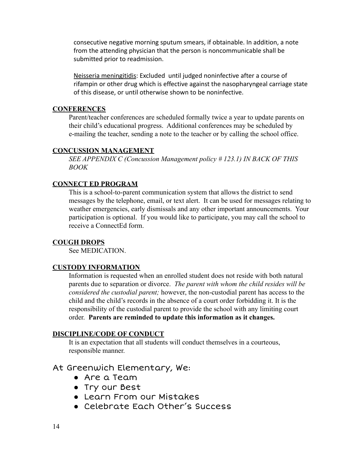consecutive negative morning sputum smears, if obtainable. In addition, a note from the attending physician that the person is noncommunicable shall be submitted prior to readmission.

Neisseria meningitidis: Excluded until judged noninfective after a course of rifampin or other drug which is effective against the nasopharyngeal carriage state of this disease, or until otherwise shown to be noninfective.

#### **CONFERENCES**

Parent/teacher conferences are scheduled formally twice a year to update parents on their child's educational progress. Additional conferences may be scheduled by e-mailing the teacher, sending a note to the teacher or by calling the school office.

#### **CONCUSSION MANAGEMENT**

*SEE APPENDIX C (Concussion Management policy # 123.1) IN BACK OF THIS BOOK*

#### **CONNECT ED PROGRAM**

This is a school-to-parent communication system that allows the district to send messages by the telephone, email, or text alert. It can be used for messages relating to weather emergencies, early dismissals and any other important announcements. Your participation is optional. If you would like to participate, you may call the school to receive a ConnectEd form.

#### **COUGH DROPS**

See MEDICATION.

#### **CUSTODY INFORMATION**

Information is requested when an enrolled student does not reside with both natural parents due to separation or divorce. *The parent with whom the child resides will be considered the custodial parent;* however, the non-custodial parent has access to the child and the child's records in the absence of a court order forbidding it. It is the responsibility of the custodial parent to provide the school with any limiting court order. **Parents are reminded to update this information as it changes.**

#### **DISCIPLINE/CODE OF CONDUCT**

It is an expectation that all students will conduct themselves in a courteous, responsible manner.

### At Greenwich Elementary, We:

- Are a Team
- Try our Best
- Learn From our Mistakes
- Celebrate Each Other's Success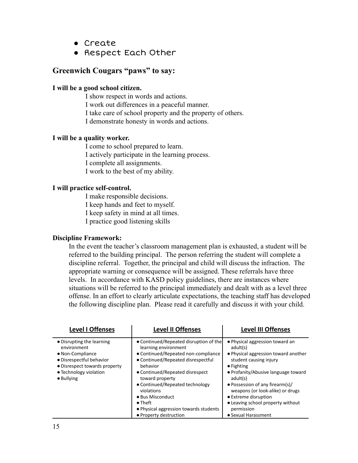- Create
- Respect Each Other

#### **Greenwich Cougars "paws" to say:**

#### **I will be a good school citizen.**

I show respect in words and actions. I work out differences in a peaceful manner. I take care of school property and the property of others. I demonstrate honesty in words and actions.

#### **I will be a quality worker.**

I come to school prepared to learn. I actively participate in the learning process. I complete all assignments. I work to the best of my ability.

#### **I will practice self-control.**

I make responsible decisions. I keep hands and feet to myself. I keep safety in mind at all times. I practice good listening skills

#### **Discipline Framework:**

In the event the teacher's classroom management plan is exhausted, a student will be referred to the building principal. The person referring the student will complete a discipline referral. Together, the principal and child will discuss the infraction. The appropriate warning or consequence will be assigned. These referrals have three levels. In accordance with KASD policy guidelines, there are instances where situations will be referred to the principal immediately and dealt with as a level three offense. In an effort to clearly articulate expectations, the teaching staff has developed the following discipline plan. Please read it carefully and discuss it with your child.

| Level I Offenses                                                                                                                                                          | <b>Level II Offenses</b>                                                                                                                                                                                                                                                                                                                                                  | <b>Level III Offenses</b>                                                                                                                                                                                                                                                                                                                                       |
|---------------------------------------------------------------------------------------------------------------------------------------------------------------------------|---------------------------------------------------------------------------------------------------------------------------------------------------------------------------------------------------------------------------------------------------------------------------------------------------------------------------------------------------------------------------|-----------------------------------------------------------------------------------------------------------------------------------------------------------------------------------------------------------------------------------------------------------------------------------------------------------------------------------------------------------------|
| • Disrupting the learning<br>environment<br>• Non-Compliance<br>• Disrespectful behavior<br>• Disrespect towards property<br>• Technology violation<br>$\bullet$ Bullying | • Continued/Repeated disruption of the<br>learning environment<br>• Continued/Repeated non-compliance<br>• Continued/Repeated disrespectful<br>behavior<br>• Continued/Repeated disrespect<br>toward property<br>• Continued/Repeated technology<br>violations<br>• Bus Misconduct<br>$\bullet$ Theft<br>• Physical aggression towards students<br>• Property destruction | • Physical aggression toward an<br>adult(s)<br>• Physical aggression toward another<br>student causing injury<br>$\bullet$ Fighting<br>• Profanity/Abusive language toward<br>adult(s)<br>• Possession of any firearm(s)/<br>weapons (or look-alike) or drugs<br>• Extreme disruption<br>• Leaving school property without<br>permission<br>• Sexual Harassment |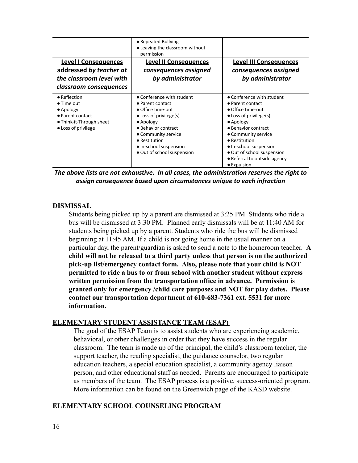| <b>Level I Consequences</b><br>addressed by teacher at<br>the classroom level with<br>classroom consequences                   | • Repeated Bullying<br>• Leaving the classroom without<br>permission<br><b>Level II Consequences</b><br>consequences assigned<br>by administrator                                                                                                | <b>Level III Consequences</b><br>consequences assigned<br>by administrator                                                                                                                                                                                                              |
|--------------------------------------------------------------------------------------------------------------------------------|--------------------------------------------------------------------------------------------------------------------------------------------------------------------------------------------------------------------------------------------------|-----------------------------------------------------------------------------------------------------------------------------------------------------------------------------------------------------------------------------------------------------------------------------------------|
| • Reflection<br>$\bullet$ Time out<br>$\bullet$ Apology<br>• Parent contact<br>• Think-it-Through sheet<br>• Loss of privilege | • Conference with student<br>$\bullet$ Parent contact<br>• Office time-out<br>$\bullet$ Loss of privilege(s)<br>• Apology<br>• Behavior contract<br>• Community service<br>• Restitution<br>• In-school suspension<br>• Out of school suspension | • Conference with student<br>• Parent contact<br>• Office time-out<br>$\bullet$ Loss of privilege(s)<br>• Apology<br>• Behavior contract<br>• Community service<br>• Restitution<br>• In-school suspension<br>• Out of school suspension<br>• Referral to outside agency<br>• Expulsion |

*The above lists are not exhaustive. In all cases, the administration reserves the right to assign consequence based upon circumstances unique to each infraction*

#### **DISMISSAL**

Students being picked up by a parent are dismissed at 3:25 PM. Students who ride a bus will be dismissed at 3:30 PM. Planned early dismissals will be at 11:40 AM for students being picked up by a parent. Students who ride the bus will be dismissed beginning at 11:45 AM. If a child is not going home in the usual manner on a particular day, the parent/guardian is asked to send a note to the homeroom teacher. **A child will not be released to a third party unless that person is on the authorized pick-up list/emergency contact form. Also, please note that your child is NOT permitted to ride a bus to or from school with another student without express written permission from the transportation office in advance. Permission is granted only for emergency /child care purposes and NOT for play dates. Please contact our transportation department at 610-683-7361 ext. 5531 for more information.**

#### **ELEMENTARY STUDENT ASSISTANCE TEAM (ESAP)**

The goal of the ESAP Team is to assist students who are experiencing academic, behavioral, or other challenges in order that they have success in the regular classroom. The team is made up of the principal, the child's classroom teacher, the support teacher, the reading specialist, the guidance counselor, two regular education teachers, a special education specialist, a community agency liaison person, and other educational staff as needed. Parents are encouraged to participate as members of the team. The ESAP process is a positive, success-oriented program. More information can be found on the Greenwich page of the KASD website.

#### **ELEMENTARY SCHOOL COUNSELING PROGRAM**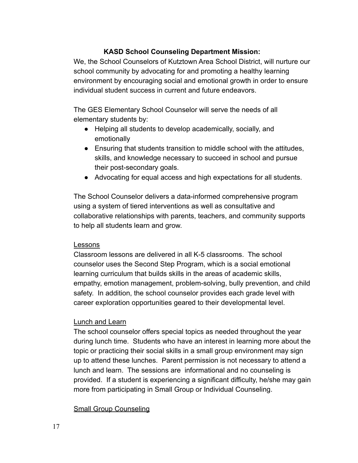#### **KASD School Counseling Department Mission:**

We, the School Counselors of Kutztown Area School District, will nurture our school community by advocating for and promoting a healthy learning environment by encouraging social and emotional growth in order to ensure individual student success in current and future endeavors.

The GES Elementary School Counselor will serve the needs of all elementary students by:

- Helping all students to develop academically, socially, and emotionally
- Ensuring that students transition to middle school with the attitudes, skills, and knowledge necessary to succeed in school and pursue their post-secondary goals.
- Advocating for equal access and high expectations for all students.

The School Counselor delivers a data-informed comprehensive program using a system of tiered interventions as well as consultative and collaborative relationships with parents, teachers, and community supports to help all students learn and grow.

#### Lessons

Classroom lessons are delivered in all K-5 classrooms. The school counselor uses the Second Step Program, which is a social emotional learning curriculum that builds skills in the areas of academic skills, empathy, emotion management, problem-solving, bully prevention, and child safety. In addition, the school counselor provides each grade level with career exploration opportunities geared to their developmental level.

#### Lunch and Learn

The school counselor offers special topics as needed throughout the year during lunch time. Students who have an interest in learning more about the topic or practicing their social skills in a small group environment may sign up to attend these lunches. Parent permission is not necessary to attend a lunch and learn. The sessions are informational and no counseling is provided. If a student is experiencing a significant difficulty, he/she may gain more from participating in Small Group or Individual Counseling.

#### Small Group Counseling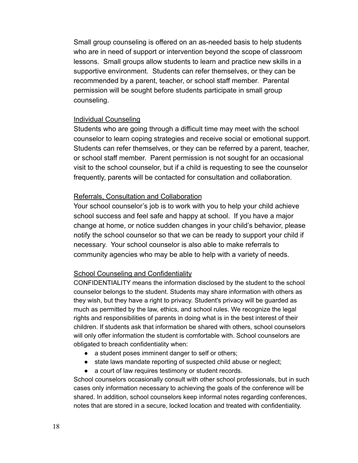Small group counseling is offered on an as-needed basis to help students who are in need of support or intervention beyond the scope of classroom lessons. Small groups allow students to learn and practice new skills in a supportive environment. Students can refer themselves, or they can be recommended by a parent, teacher, or school staff member. Parental permission will be sought before students participate in small group counseling.

#### Individual Counseling

Students who are going through a difficult time may meet with the school counselor to learn coping strategies and receive social or emotional support. Students can refer themselves, or they can be referred by a parent, teacher, or school staff member. Parent permission is not sought for an occasional visit to the school counselor, but if a child is requesting to see the counselor frequently, parents will be contacted for consultation and collaboration.

#### Referrals, Consultation and Collaboration

Your school counselor's job is to work with you to help your child achieve school success and feel safe and happy at school. If you have a major change at home, or notice sudden changes in your child's behavior, please notify the school counselor so that we can be ready to support your child if necessary. Your school counselor is also able to make referrals to community agencies who may be able to help with a variety of needs.

#### School Counseling and Confidentiality

CONFIDENTIALITY means the information disclosed by the student to the school counselor belongs to the student. Students may share information with others as they wish, but they have a right to privacy. Student's privacy will be guarded as much as permitted by the law, ethics, and school rules. We recognize the legal rights and responsibilities of parents in doing what is in the best interest of their children. If students ask that information be shared with others, school counselors will only offer information the student is comfortable with. School counselors are obligated to breach confidentiality when:

- a student poses imminent danger to self or others;
- state laws mandate reporting of suspected child abuse or neglect;
- a court of law requires testimony or student records.

School counselors occasionally consult with other school professionals, but in such cases only information necessary to achieving the goals of the conference will be shared. In addition, school counselors keep informal notes regarding conferences, notes that are stored in a secure, locked location and treated with confidentiality.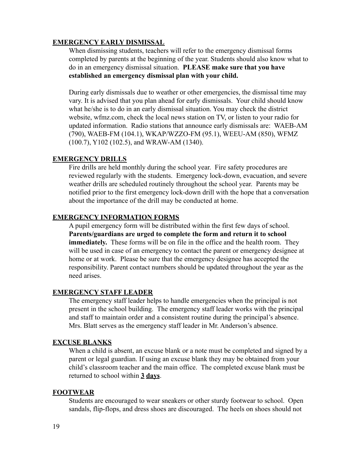#### **EMERGENCY EARLY DISMISSAL**

When dismissing students, teachers will refer to the emergency dismissal forms completed by parents at the beginning of the year. Students should also know what to do in an emergency dismissal situation. **PLEASE make sure that you have established an emergency dismissal plan with your child.**

During early dismissals due to weather or other emergencies, the dismissal time may vary. It is advised that you plan ahead for early dismissals. Your child should know what he/she is to do in an early dismissal situation. You may check the district website, wfmz.com, check the local news station on TV, or listen to your radio for updated information. Radio stations that announce early dismissals are: WAEB-AM (790), WAEB-FM (104.1), WKAP/WZZO-FM (95.1), WEEU-AM (850), WFMZ (100.7), Y102 (102.5), and WRAW-AM (1340).

#### **EMERGENCY DRILLS**

Fire drills are held monthly during the school year. Fire safety procedures are reviewed regularly with the students. Emergency lock-down, evacuation, and severe weather drills are scheduled routinely throughout the school year. Parents may be notified prior to the first emergency lock-down drill with the hope that a conversation about the importance of the drill may be conducted at home.

#### **EMERGENCY INFORMATION FORMS**

A pupil emergency form will be distributed within the first few days of school. **Parents/guardians are urged to complete the form and return it to school immediately.** These forms will be on file in the office and the health room. They will be used in case of an emergency to contact the parent or emergency designee at home or at work. Please be sure that the emergency designee has accepted the responsibility. Parent contact numbers should be updated throughout the year as the need arises.

#### **EMERGENCY STAFF LEADER**

The emergency staff leader helps to handle emergencies when the principal is not present in the school building. The emergency staff leader works with the principal and staff to maintain order and a consistent routine during the principal's absence. Mrs. Blatt serves as the emergency staff leader in Mr. Anderson's absence.

#### **EXCUSE BLANKS**

When a child is absent, an excuse blank or a note must be completed and signed by a parent or legal guardian. If using an excuse blank they may be obtained from your child's classroom teacher and the main office. The completed excuse blank must be returned to school within **3 days**.

#### **FOOTWEAR**

Students are encouraged to wear sneakers or other sturdy footwear to school. Open sandals, flip-flops, and dress shoes are discouraged. The heels on shoes should not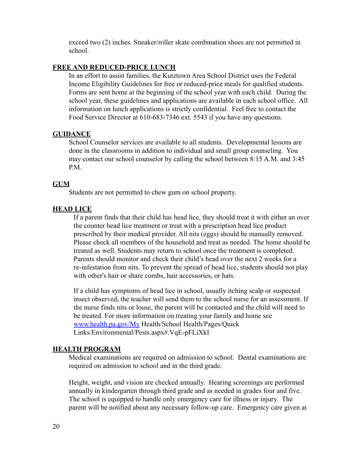exceed two (2) inches. Sneaker/roller skate combination shoes are not permitted in school.

#### **FREE AND REDUCED-PRICE LUNCH**

In an effort to assist families, the Kutztown Area School District uses the Federal Income Eligibility Guidelines for free or reduced-price meals for qualified students. Forms are sent home at the beginning of the school year with each child. During the school year, these guidelines and applications are available in each school office. All information on lunch applications is strictly confidential. Feel free to contact the Food Service Director at 610-683-7346 ext. 5543 if you have any questions.

#### **GUIDANCE**

School Counselor services are available to all students. Developmental lessons are done in the classrooms in addition to individual and small group counseling. You may contact our school counselor by calling the school between 8:15 A.M. and 3:45 P.M.

#### **GUM**

Students are not permitted to chew gum on school property.

#### **HEAD LICE**

If a parent finds that their child has head lice, they should treat it with either an over the counter head lice treatment or treat with a prescription head lice product prescribed by their medical provider. All nits (eggs) should be manually removed. Please check all members of the household and treat as needed. The home should be treated as well. Students may return to school once the treatment is completed. Parents should monitor and check their child's head over the next 2 weeks for a re-infestation from nits. To prevent the spread of head lice, students should not play with other's hair or share combs, hair accessories, or hats.

If a child has symptoms of head lice in school, usually itching scalp or suspected insect observed, the teacher will send them to the school nurse for an assessment. If the nurse finds nits or louse, the parent will be contacted and the child will need to be treated. For more information on treating your family and home see [www.health.pa.gov/My](http://www.health.pa.gov/My) Health/School Health/Pages/Quick Links/Environmental/Pests.aspx#.VqE-pFLiXkI

#### **HEALTH PROGRAM**

Medical examinations are required on admission to school. Dental examinations are required on admission to school and in the third grade.

Height, weight, and vision are checked annually. Hearing screenings are performed annually in kindergarten through third grade and as needed in grades four and five. The school is equipped to handle only emergency care for illness or injury. The parent will be notified about any necessary follow-up care. Emergency care given at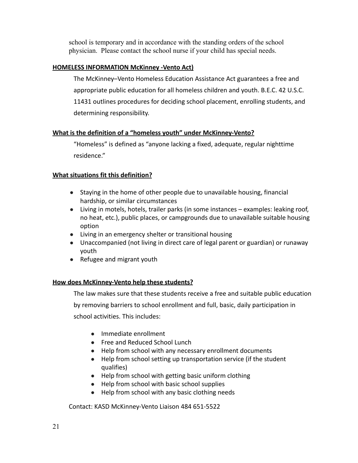school is temporary and in accordance with the standing orders of the school physician. Please contact the school nurse if your child has special needs.

#### **HOMELESS INFORMATION McKinney -Vento Act)**

The McKinney–Vento Homeless Education Assistance Act guarantees a free and appropriate public education for all homeless children and youth. B.E.C. 42 U.S.C. 11431 outlines procedures for deciding school placement, enrolling students, and determining responsibility.

#### **What is the definition of a "homeless youth" under McKinney-Vento?**

"Homeless" is defined as "anyone lacking a fixed, adequate, regular nighttime residence."

#### **What situations fit this definition?**

- Staying in the home of other people due to unavailable housing, financial hardship, or similar circumstances
- Living in motels, hotels, trailer parks (in some instances examples: leaking roof, no heat, etc.), public places, or campgrounds due to unavailable suitable housing option
- Living in an emergency shelter or transitional housing
- Unaccompanied (not living in direct care of legal parent or guardian) or runaway youth
- Refugee and migrant youth

#### **How does McKinney-Vento help these students?**

The law makes sure that these students receive a free and suitable public education by removing barriers to school enrollment and full, basic, daily participation in school activities. This includes:

- Immediate enrollment
- Free and Reduced School Lunch
- Help from school with any necessary enrollment documents
- Help from school setting up transportation service (if the student qualifies)
- Help from school with getting basic uniform clothing
- Help from school with basic school supplies
- Help from school with any basic clothing needs

Contact: KASD McKinney-Vento Liaison 484 651-5522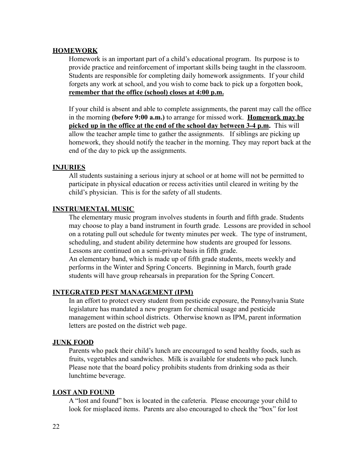#### **HOMEWORK**

Homework is an important part of a child's educational program. Its purpose is to provide practice and reinforcement of important skills being taught in the classroom. Students are responsible for completing daily homework assignments. If your child forgets any work at school, and you wish to come back to pick up a forgotten book, **remember that the office (school) closes at 4:00 p.m.**

If your child is absent and able to complete assignments, the parent may call the office in the morning **(before 9:00 a.m.)** to arrange for missed work. **Homework may be picked up in the office at the end of the school day between 3-4 p.m.** This will allow the teacher ample time to gather the assignments. If siblings are picking up homework, they should notify the teacher in the morning. They may report back at the end of the day to pick up the assignments.

#### **INJURIES**

All students sustaining a serious injury at school or at home will not be permitted to participate in physical education or recess activities until cleared in writing by the child's physician. This is for the safety of all students.

#### **INSTRUMENTAL MUSIC**

The elementary music program involves students in fourth and fifth grade. Students may choose to play a band instrument in fourth grade. Lessons are provided in school on a rotating pull out schedule for twenty minutes per week. The type of instrument, scheduling, and student ability determine how students are grouped for lessons. Lessons are continued on a semi-private basis in fifth grade.

An elementary band, which is made up of fifth grade students, meets weekly and performs in the Winter and Spring Concerts. Beginning in March, fourth grade students will have group rehearsals in preparation for the Spring Concert.

#### **INTEGRATED PEST MANAGEMENT (IPM)**

In an effort to protect every student from pesticide exposure, the Pennsylvania State legislature has mandated a new program for chemical usage and pesticide management within school districts. Otherwise known as IPM, parent information letters are posted on the district web page.

#### **JUNK FOOD**

Parents who pack their child's lunch are encouraged to send healthy foods, such as fruits, vegetables and sandwiches. Milk is available for students who pack lunch. Please note that the board policy prohibits students from drinking soda as their lunchtime beverage.

#### **LOST AND FOUND**

A "lost and found" box is located in the cafeteria. Please encourage your child to look for misplaced items. Parents are also encouraged to check the "box" for lost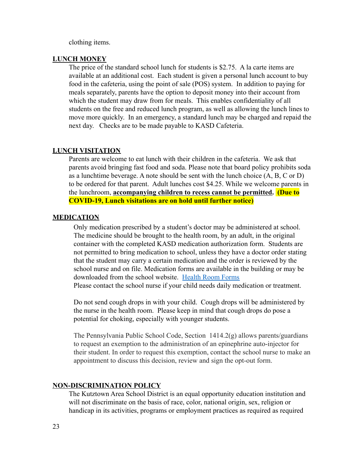clothing items.

#### **LUNCH MONEY**

The price of the standard school lunch for students is \$2.75. A la carte items are available at an additional cost. Each student is given a personal lunch account to buy food in the cafeteria, using the point of sale (POS) system. In addition to paying for meals separately, parents have the option to deposit money into their account from which the student may draw from for meals. This enables confidentiality of all students on the free and reduced lunch program, as well as allowing the lunch lines to move more quickly. In an emergency, a standard lunch may be charged and repaid the next day. Checks are to be made payable to KASD Cafeteria.

#### **LUNCH VISITATION**

Parents are welcome to eat lunch with their children in the cafeteria. We ask that parents avoid bringing fast food and soda. Please note that board policy prohibits soda as a lunchtime beverage. A note should be sent with the lunch choice  $(A, B, C \text{ or } D)$ to be ordered for that parent. Adult lunches cost \$4.25. While we welcome parents in the lunchroom, **accompanying children to recess cannot be permitted. (Due to COVID-19, Lunch visitations are on hold until further notice)**

#### **MEDICATION**

Only medication prescribed by a student's doctor may be administered at school. The medicine should be brought to the health room, by an adult, in the original container with the completed KASD medication authorization form. Students are not permitted to bring medication to school, unless they have a doctor order stating that the student may carry a certain medication and the order is reviewed by the school nurse and on file. Medication forms are available in the building or may be downloaded from the school website. [Health Room Forms](https://www.kasd.org/Page/891) Please contact the school nurse if your child needs daily medication or treatment.

Do not send cough drops in with your child. Cough drops will be administered by the nurse in the health room. Please keep in mind that cough drops do pose a potential for choking, especially with younger students.

The Pennsylvania Public School Code, Section  $1414.2(g)$  allows parents/guardians to request an exemption to the administration of an epinephrine auto-injector for their student. In order to request this exemption, contact the school nurse to make an appointment to discuss this decision, review and sign the opt-out form.

#### **NON-DISCRIMINATION POLICY**

The Kutztown Area School District is an equal opportunity education institution and will not discriminate on the basis of race, color, national origin, sex, religion or handicap in its activities, programs or employment practices as required as required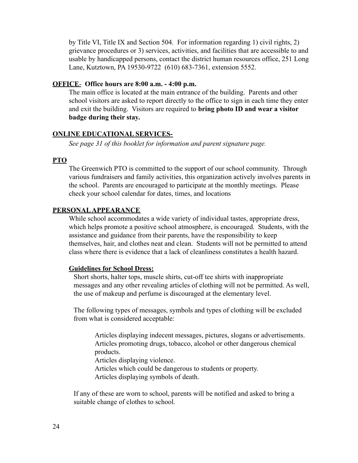by Title VI, Title IX and Section 504. For information regarding 1) civil rights, 2) grievance procedures or 3) services, activities, and facilities that are accessible to and usable by handicapped persons, contact the district human resources office, 251 Long Lane, Kutztown, PA 19530-9722 (610) 683-7361, extension 5552.

#### **OFFICE**- **Office hours are 8:00 a.m. - 4:00 p.m.**

The main office is located at the main entrance of the building. Parents and other school visitors are asked to report directly to the office to sign in each time they enter and exit the building. Visitors are required to **bring photo ID and wear a visitor badge during their stay.**

#### **ONLINE EDUCATIONAL SERVICES-**

*See page 31 of this booklet for information and parent signature page.*

#### **PTO**

The Greenwich PTO is committed to the support of our school community. Through various fundraisers and family activities, this organization actively involves parents in the school. Parents are encouraged to participate at the monthly meetings. Please check your school calendar for dates, times, and locations

#### **PERSONALAPPEARANCE**

While school accommodates a wide variety of individual tastes, appropriate dress, which helps promote a positive school atmosphere, is encouraged. Students, with the assistance and guidance from their parents, have the responsibility to keep themselves, hair, and clothes neat and clean. Students will not be permitted to attend class where there is evidence that a lack of cleanliness constitutes a health hazard.

#### **Guidelines for School Dress:**

Short shorts, halter tops, muscle shirts, cut-off tee shirts with inappropriate messages and any other revealing articles of clothing will not be permitted. As well, the use of makeup and perfume is discouraged at the elementary level.

The following types of messages, symbols and types of clothing will be excluded from what is considered acceptable:

Articles displaying indecent messages, pictures, slogans or advertisements. Articles promoting drugs, tobacco, alcohol or other dangerous chemical products.

Articles displaying violence.

Articles which could be dangerous to students or property.

Articles displaying symbols of death.

If any of these are worn to school, parents will be notified and asked to bring a suitable change of clothes to school.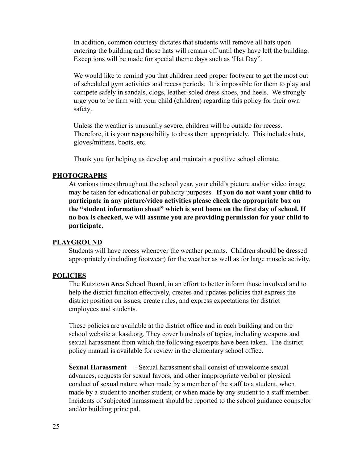In addition, common courtesy dictates that students will remove all hats upon entering the building and those hats will remain off until they have left the building. Exceptions will be made for special theme days such as 'Hat Day".

We would like to remind you that children need proper footwear to get the most out of scheduled gym activities and recess periods. It is impossible for them to play and compete safely in sandals, clogs, leather-soled dress shoes, and heels. We strongly urge you to be firm with your child (children) regarding this policy for their own safety.

Unless the weather is unusually severe, children will be outside for recess. Therefore, it is your responsibility to dress them appropriately. This includes hats, gloves/mittens, boots, etc.

Thank you for helping us develop and maintain a positive school climate.

#### **PHOTOGRAPHS**

At various times throughout the school year, your child's picture and/or video image may be taken for educational or publicity purposes. **If you do not want your child to participate in any picture/video activities please check the appropriate box on the "student information sheet" which is sent home on the first day of school. If no box is checked, we will assume you are providing permission for your child to participate.**

#### **PLAYGROUND**

Students will have recess whenever the weather permits. Children should be dressed appropriately (including footwear) for the weather as well as for large muscle activity.

#### **POLICIES**

The Kutztown Area School Board, in an effort to better inform those involved and to help the district function effectively, creates and updates policies that express the district position on issues, create rules, and express expectations for district employees and students.

These policies are available at the district office and in each building and on the school website at kasd.org. They cover hundreds of topics, including weapons and sexual harassment from which the following excerpts have been taken. The district policy manual is available for review in the elementary school office.

**Sexual Harassment** - Sexual harassment shall consist of unwelcome sexual advances, requests for sexual favors, and other inappropriate verbal or physical conduct of sexual nature when made by a member of the staff to a student, when made by a student to another student, or when made by any student to a staff member. Incidents of subjected harassment should be reported to the school guidance counselor and/or building principal.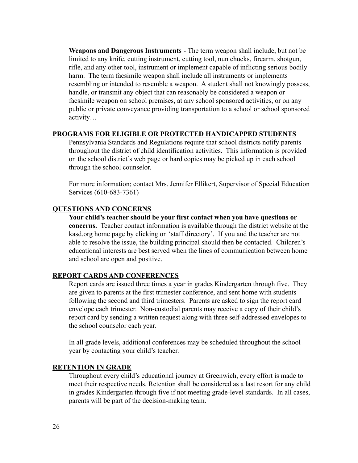**Weapons and Dangerous Instruments** - The term weapon shall include, but not be limited to any knife, cutting instrument, cutting tool, nun chucks, firearm, shotgun, rifle, and any other tool, instrument or implement capable of inflicting serious bodily harm. The term facsimile weapon shall include all instruments or implements resembling or intended to resemble a weapon. A student shall not knowingly possess, handle, or transmit any object that can reasonably be considered a weapon or facsimile weapon on school premises, at any school sponsored activities, or on any public or private conveyance providing transportation to a school or school sponsored activity…

#### **PROGRAMS FOR ELIGIBLE OR PROTECTED HANDICAPPED STUDENTS**

Pennsylvania Standards and Regulations require that school districts notify parents throughout the district of child identification activities. This information is provided on the school district's web page or hard copies may be picked up in each school through the school counselor.

For more information; contact Mrs. Jennifer Ellikert, Supervisor of Special Education Services (610-683-7361)

#### **QUESTIONS AND CONCERNS**

**Your child's teacher should be your first contact when you have questions or concerns.** Teacher contact information is available through the district website at the kasd.org home page by clicking on 'staff directory'. If you and the teacher are not able to resolve the issue, the building principal should then be contacted. Children's educational interests are best served when the lines of communication between home and school are open and positive.

#### **REPORT CARDS AND CONFERENCES**

Report cards are issued three times a year in grades Kindergarten through five. They are given to parents at the first trimester conference, and sent home with students following the second and third trimesters. Parents are asked to sign the report card envelope each trimester. Non-custodial parents may receive a copy of their child's report card by sending a written request along with three self-addressed envelopes to the school counselor each year.

In all grade levels, additional conferences may be scheduled throughout the school year by contacting your child's teacher.

#### **RETENTION IN GRADE**

Throughout every child's educational journey at Greenwich, every effort is made to meet their respective needs. Retention shall be considered as a last resort for any child in grades Kindergarten through five if not meeting grade-level standards. In all cases, parents will be part of the decision-making team.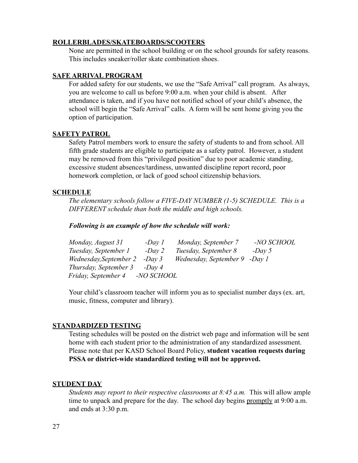#### **ROLLERBLADES/SKATEBOARDS/SCOOTERS**

None are permitted in the school building or on the school grounds for safety reasons. This includes sneaker/roller skate combination shoes.

#### **SAFE ARRIVAL PROGRAM**

For added safety for our students, we use the "Safe Arrival" call program. As always, you are welcome to call us before 9:00 a.m. when your child is absent. After attendance is taken, and if you have not notified school of your child's absence, the school will begin the "Safe Arrival" calls. A form will be sent home giving you the option of participation.

#### **SAFETY PATROL**

Safety Patrol members work to ensure the safety of students to and from school. All fifth grade students are eligible to participate as a safety patrol. However, a student may be removed from this "privileged position" due to poor academic standing, excessive student absences/tardiness, unwanted discipline report record, poor homework completion, or lack of good school citizenship behaviors.

#### **SCHEDULE**

*The elementary schools follow a FIVE-DAY NUMBER (1-5) SCHEDULE. This is a DIFFERENT schedule than both the middle and high schools.*

#### *Following is an example of how the schedule will work:*

| Monday, August 31      | $-Day1$           | Monday, September 7           | -NO SCHOOL |
|------------------------|-------------------|-------------------------------|------------|
| Tuesday, September 1   | $-Day$ 2          | Tuesday, September 8          | $-Day 5$   |
| Wednesday, September 2 | $-Dav3$           | Wednesday, September 9 -Day 1 |            |
| Thursday, September 3  | $-Dav$ 4          |                               |            |
| Friday, September 4    | <i>-NO SCHOOL</i> |                               |            |

Your child's classroom teacher will inform you as to specialist number days (ex. art, music, fitness, computer and library).

#### **STANDARDIZED TESTING**

Testing schedules will be posted on the district web page and information will be sent home with each student prior to the administration of any standardized assessment. Please note that per KASD School Board Policy, **student vacation requests during PSSA or district-wide standardized testing will not be approved.**

#### **STUDENT DAY**

*Students may report to their respective classrooms at 8:45 a.m.* This will allow ample time to unpack and prepare for the day. The school day begins promptly at 9:00 a.m. and ends at 3:30 p.m.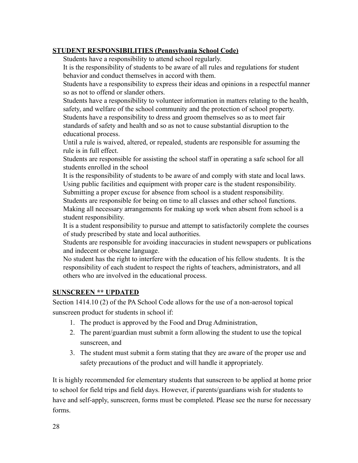#### **STUDENT RESPONSIBILITIES (Pennsylvania School Code)**

Students have a responsibility to attend school regularly.

It is the responsibility of students to be aware of all rules and regulations for student behavior and conduct themselves in accord with them.

Students have a responsibility to express their ideas and opinions in a respectful manner so as not to offend or slander others.

Students have a responsibility to volunteer information in matters relating to the health, safety, and welfare of the school community and the protection of school property. Students have a responsibility to dress and groom themselves so as to meet fair standards of safety and health and so as not to cause substantial disruption to the educational process.

Until a rule is waived, altered, or repealed, students are responsible for assuming the rule is in full effect.

Students are responsible for assisting the school staff in operating a safe school for all students enrolled in the school

It is the responsibility of students to be aware of and comply with state and local laws. Using public facilities and equipment with proper care is the student responsibility.

Submitting a proper excuse for absence from school is a student responsibility.

Students are responsible for being on time to all classes and other school functions. Making all necessary arrangements for making up work when absent from school is a student responsibility.

It is a student responsibility to pursue and attempt to satisfactorily complete the courses of study prescribed by state and local authorities.

Students are responsible for avoiding inaccuracies in student newspapers or publications and indecent or obscene language.

No student has the right to interfere with the education of his fellow students. It is the responsibility of each student to respect the rights of teachers, administrators, and all others who are involved in the educational process.

#### **SUNSCREEN \*\* UPDATED**

Section 1414.10 (2) of the PA School Code allows for the use of a non-aerosol topical sunscreen product for students in school if:

- 1. The product is approved by the Food and Drug Administration,
- 2. The parent/guardian must submit a form allowing the student to use the topical sunscreen, and
- 3. The student must submit a form stating that they are aware of the proper use and safety precautions of the product and will handle it appropriately.

It is highly recommended for elementary students that sunscreen to be applied at home prior to school for field trips and field days. However, if parents/guardians wish for students to have and self-apply, sunscreen, forms must be completed. Please see the nurse for necessary forms.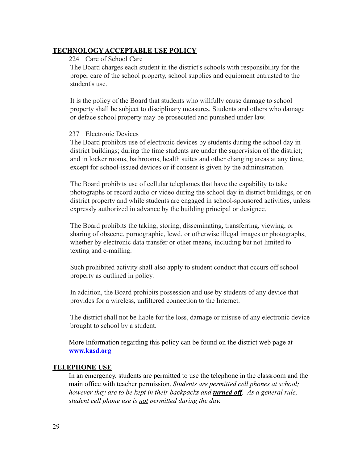#### **TECHNOLOGY ACCEPTABLE USE POLICY**

#### 224 Care of School Care

The Board charges each student in the district's schools with responsibility for the proper care of the school property, school supplies and equipment entrusted to the student's use.

It is the policy of the Board that students who willfully cause damage to school property shall be subject to disciplinary measures. Students and others who damage or deface school property may be prosecuted and punished under law.

#### 237 Electronic Devices

The Board prohibits use of electronic devices by students during the school day in district buildings; during the time students are under the supervision of the district; and in locker rooms, bathrooms, health suites and other changing areas at any time, except for school-issued devices or if consent is given by the administration.

The Board prohibits use of cellular telephones that have the capability to take photographs or record audio or video during the school day in district buildings, or on district property and while students are engaged in school-sponsored activities, unless expressly authorized in advance by the building principal or designee.

The Board prohibits the taking, storing, disseminating, transferring, viewing, or sharing of obscene, pornographic, lewd, or otherwise illegal images or photographs, whether by electronic data transfer or other means, including but not limited to texting and e-mailing.

Such prohibited activity shall also apply to student conduct that occurs off school property as outlined in policy.

In addition, the Board prohibits possession and use by students of any device that provides for a wireless, unfiltered connection to the Internet.

The district shall not be liable for the loss, damage or misuse of any electronic device brought to school by a student.

More Information regarding this policy can be found on the district web page at **[www.kasd.org](http://www.kasd.org)**

#### **TELEPHONE USE**

In an emergency, students are permitted to use the telephone in the classroom and the main office with teacher permission. *Students are permitted cell phones at school; however they are to be kept in their backpacks and turned off. As a general rule, student cell phone use is not permitted during the day.*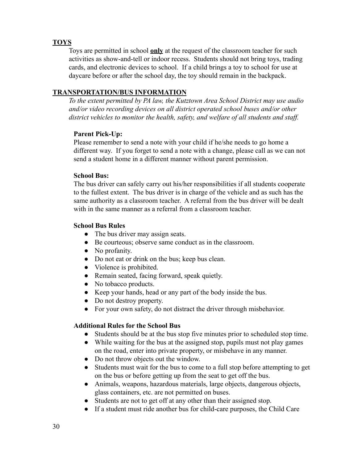#### **TOYS**

Toys are permitted in school **only** at the request of the classroom teacher for such activities as show-and-tell or indoor recess. Students should not bring toys, trading cards, and electronic devices to school. If a child brings a toy to school for use at daycare before or after the school day, the toy should remain in the backpack.

#### **TRANSPORTATION/BUS INFORMATION**

*To the extent permitted by PA law, the Kutztown Area School District may use audio and/or video recording devices on all district operated school buses and/or other district vehicles to monitor the health, safety, and welfare of all students and staff.*

#### **Parent Pick-Up:**

Please remember to send a note with your child if he/she needs to go home a different way. If you forget to send a note with a change, please call as we can not send a student home in a different manner without parent permission.

#### **School Bus:**

The bus driver can safely carry out his/her responsibilities if all students cooperate to the fullest extent. The bus driver is in charge of the vehicle and as such has the same authority as a classroom teacher. A referral from the bus driver will be dealt with in the same manner as a referral from a classroom teacher.

#### **School Bus Rules**

- The bus driver may assign seats.
- Be courteous; observe same conduct as in the classroom.
- No profanity.
- Do not eat or drink on the bus; keep bus clean.
- Violence is prohibited.
- Remain seated, facing forward, speak quietly.
- No tobacco products.
- Keep your hands, head or any part of the body inside the bus.
- Do not destroy property.
- For your own safety, do not distract the driver through misbehavior.

#### **Additional Rules for the School Bus**

- Students should be at the bus stop five minutes prior to scheduled stop time.
- While waiting for the bus at the assigned stop, pupils must not play games on the road, enter into private property, or misbehave in any manner.
- Do not throw objects out the window.
- Students must wait for the bus to come to a full stop before attempting to get on the bus or before getting up from the seat to get off the bus.
- Animals, weapons, hazardous materials, large objects, dangerous objects, glass containers, etc. are not permitted on buses.
- Students are not to get off at any other than their assigned stop.
- If a student must ride another bus for child-care purposes, the Child Care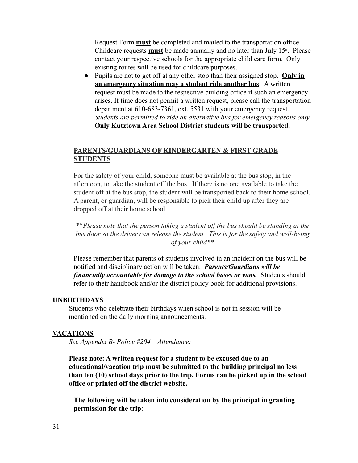Request Form **must** be completed and mailed to the transportation office. Childcare requests **must** be made annually and no later than July 15<sup>th</sup>. Please contact your respective schools for the appropriate child care form. Only existing routes will be used for childcare purposes.

● Pupils are not to get off at any other stop than their assigned stop. **Only in an emergency situation may a student ride another bus**. A written request must be made to the respective building office if such an emergency arises. If time does not permit a written request, please call the transportation department at 610-683-7361, ext. 5531 with your emergency request. *Students are permitted to ride an alternative bus for emergency reasons only.* **Only Kutztown Area School District students will be transported.**

#### **PARENTS/GUARDIANS OF KINDERGARTEN & FIRST GRADE STUDENTS**

For the safety of your child, someone must be available at the bus stop, in the afternoon, to take the student off the bus. If there is no one available to take the student off at the bus stop, the student will be transported back to their home school. A parent, or guardian, will be responsible to pick their child up after they are dropped off at their home school.

\*\**Please note that the person taking a student off the bus should be standing at the bus door so the driver can release the student. This is for the safety and well-being of your child\*\**

Please remember that parents of students involved in an incident on the bus will be notified and disciplinary action will be taken. *Parents/Guardians will be financially accountable for damage to the school buses or vans.* Students should refer to their handbook and/or the district policy book for additional provisions.

#### **UNBIRTHDAYS**

Students who celebrate their birthdays when school is not in session will be mentioned on the daily morning announcements.

#### **VACATIONS**

*See Appendix B- Policy #204 – Attendance:*

**Please note: A written request for a student to be excused due to an educational/vacation trip must be submitted to the building principal no less than ten (10) school days prior to the trip. Forms can be picked up in the school office or printed off the district website.**

**The following will be taken into consideration by the principal in granting permission for the trip**: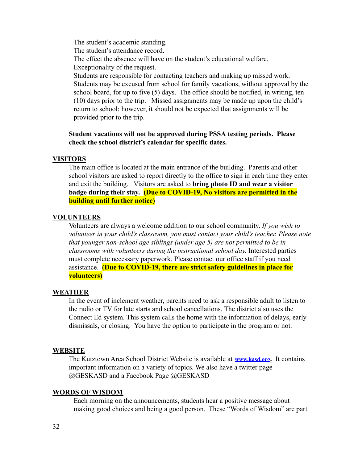The student's academic standing. The student's attendance record. The effect the absence will have on the student's educational welfare. Exceptionality of the request. Students are responsible for contacting teachers and making up missed work. Students may be excused from school for family vacations, without approval by the school board, for up to five (5) days. The office should be notified, in writing, ten (10) days prior to the trip. Missed assignments may be made up upon the child's return to school; however, it should not be expected that assignments will be

provided prior to the trip.

#### **Student vacations will not be approved during PSSA testing periods. Please check the school district's calendar for specific dates.**

#### **VISITORS**

The main office is located at the main entrance of the building. Parents and other school visitors are asked to report directly to the office to sign in each time they enter and exit the building. Visitors are asked to **bring photo ID and wear a visitor badge during their stay. (Due to COVID-19, No visitors are permitted in the building until further notice)**

#### **VOLUNTEERS**

Volunteers are always a welcome addition to our school community. *If you wish to volunteer in your child's classroom, you must contact your child's teacher. Please note that younger non-school age siblings (under age 5) are not permitted to be in classrooms with volunteers during the instructional school day.* Interested parties must complete necessary paperwork. Please contact our office staff if you need assistance. **(Due to COVID-19, there are strict safety guidelines in place for volunteers)**

#### **WEATHER**

In the event of inclement weather, parents need to ask a responsible adult to listen to the radio or TV for late starts and school cancellations. The district also uses the Connect Ed system. This system calls the home with the information of delays, early dismissals, or closing. You have the option to participate in the program or not.

#### **WEBSITE**

The Kutztown Area School District Website is available at **[www.kasd.org](http://www.kasd.org).** It contains important information on a variety of topics. We also have a twitter page @GESKASD and a Facebook Page @GESKASD

#### **WORDS OF WISDOM**

Each morning on the announcements, students hear a positive message about making good choices and being a good person. These "Words of Wisdom" are part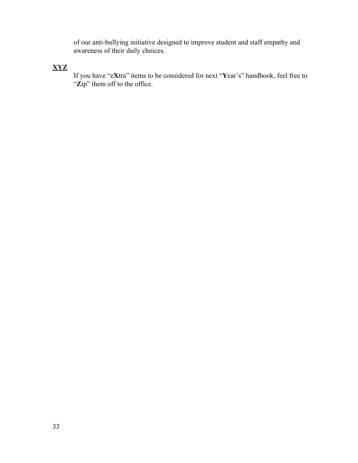of our anti-bullying initiative designed to improve student and staff empathy and awareness of their daily choices.

#### **XYZ**

If you have "e**X**tra" items to be considered for next "**Y**ear's" handbook, feel free to "Zip" them off to the office.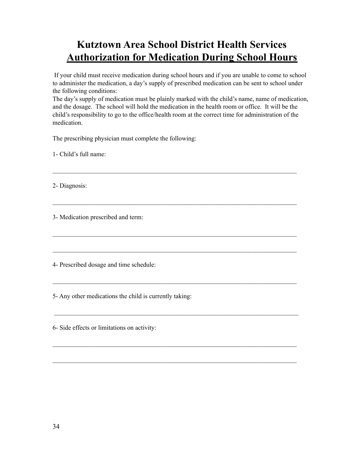## **Kutztown Area School District Health Services Authorization for Medication During School Hours**

If your child must receive medication during school hours and if you are unable to come to school to administer the medication, a day's supply of prescribed medication can be sent to school under the following conditions:

The day's supply of medication must be plainly marked with the child's name, name of medication, and the dosage. The school will hold the medication in the health room or office. It will be the child's responsibility to go to the office/health room at the correct time for administration of the medication.

 $\mathcal{L}_\mathcal{L} = \{ \mathcal{L}_\mathcal{L} = \{ \mathcal{L}_\mathcal{L} = \{ \mathcal{L}_\mathcal{L} = \{ \mathcal{L}_\mathcal{L} = \{ \mathcal{L}_\mathcal{L} = \{ \mathcal{L}_\mathcal{L} = \{ \mathcal{L}_\mathcal{L} = \{ \mathcal{L}_\mathcal{L} = \{ \mathcal{L}_\mathcal{L} = \{ \mathcal{L}_\mathcal{L} = \{ \mathcal{L}_\mathcal{L} = \{ \mathcal{L}_\mathcal{L} = \{ \mathcal{L}_\mathcal{L} = \{ \mathcal{L}_\mathcal{$ 

 $\mathcal{L}_\mathcal{L} = \{ \mathcal{L}_\mathcal{L} = \{ \mathcal{L}_\mathcal{L} = \{ \mathcal{L}_\mathcal{L} = \{ \mathcal{L}_\mathcal{L} = \{ \mathcal{L}_\mathcal{L} = \{ \mathcal{L}_\mathcal{L} = \{ \mathcal{L}_\mathcal{L} = \{ \mathcal{L}_\mathcal{L} = \{ \mathcal{L}_\mathcal{L} = \{ \mathcal{L}_\mathcal{L} = \{ \mathcal{L}_\mathcal{L} = \{ \mathcal{L}_\mathcal{L} = \{ \mathcal{L}_\mathcal{L} = \{ \mathcal{L}_\mathcal{$ 

 $\mathcal{L}_\mathcal{L} = \{ \mathcal{L}_\mathcal{L} = \{ \mathcal{L}_\mathcal{L} = \{ \mathcal{L}_\mathcal{L} = \{ \mathcal{L}_\mathcal{L} = \{ \mathcal{L}_\mathcal{L} = \{ \mathcal{L}_\mathcal{L} = \{ \mathcal{L}_\mathcal{L} = \{ \mathcal{L}_\mathcal{L} = \{ \mathcal{L}_\mathcal{L} = \{ \mathcal{L}_\mathcal{L} = \{ \mathcal{L}_\mathcal{L} = \{ \mathcal{L}_\mathcal{L} = \{ \mathcal{L}_\mathcal{L} = \{ \mathcal{L}_\mathcal{$ 

 $\mathcal{L}_\mathcal{L} = \{ \mathcal{L}_\mathcal{L} = \{ \mathcal{L}_\mathcal{L} = \{ \mathcal{L}_\mathcal{L} = \{ \mathcal{L}_\mathcal{L} = \{ \mathcal{L}_\mathcal{L} = \{ \mathcal{L}_\mathcal{L} = \{ \mathcal{L}_\mathcal{L} = \{ \mathcal{L}_\mathcal{L} = \{ \mathcal{L}_\mathcal{L} = \{ \mathcal{L}_\mathcal{L} = \{ \mathcal{L}_\mathcal{L} = \{ \mathcal{L}_\mathcal{L} = \{ \mathcal{L}_\mathcal{L} = \{ \mathcal{L}_\mathcal{$ 

 $\mathcal{L}_\mathcal{L} = \{ \mathcal{L}_\mathcal{L} = \{ \mathcal{L}_\mathcal{L} = \{ \mathcal{L}_\mathcal{L} = \{ \mathcal{L}_\mathcal{L} = \{ \mathcal{L}_\mathcal{L} = \{ \mathcal{L}_\mathcal{L} = \{ \mathcal{L}_\mathcal{L} = \{ \mathcal{L}_\mathcal{L} = \{ \mathcal{L}_\mathcal{L} = \{ \mathcal{L}_\mathcal{L} = \{ \mathcal{L}_\mathcal{L} = \{ \mathcal{L}_\mathcal{L} = \{ \mathcal{L}_\mathcal{L} = \{ \mathcal{L}_\mathcal{$ 

 $\mathcal{L}_\mathcal{L} = \{ \mathcal{L}_\mathcal{L} = \{ \mathcal{L}_\mathcal{L} = \{ \mathcal{L}_\mathcal{L} = \{ \mathcal{L}_\mathcal{L} = \{ \mathcal{L}_\mathcal{L} = \{ \mathcal{L}_\mathcal{L} = \{ \mathcal{L}_\mathcal{L} = \{ \mathcal{L}_\mathcal{L} = \{ \mathcal{L}_\mathcal{L} = \{ \mathcal{L}_\mathcal{L} = \{ \mathcal{L}_\mathcal{L} = \{ \mathcal{L}_\mathcal{L} = \{ \mathcal{L}_\mathcal{L} = \{ \mathcal{L}_\mathcal{$ 

 $\mathcal{L}_\mathcal{L} = \{ \mathcal{L}_\mathcal{L} = \{ \mathcal{L}_\mathcal{L} = \{ \mathcal{L}_\mathcal{L} = \{ \mathcal{L}_\mathcal{L} = \{ \mathcal{L}_\mathcal{L} = \{ \mathcal{L}_\mathcal{L} = \{ \mathcal{L}_\mathcal{L} = \{ \mathcal{L}_\mathcal{L} = \{ \mathcal{L}_\mathcal{L} = \{ \mathcal{L}_\mathcal{L} = \{ \mathcal{L}_\mathcal{L} = \{ \mathcal{L}_\mathcal{L} = \{ \mathcal{L}_\mathcal{L} = \{ \mathcal{L}_\mathcal{$ 

 $\mathcal{L}_\mathcal{L} = \{ \mathcal{L}_\mathcal{L} = \{ \mathcal{L}_\mathcal{L} = \{ \mathcal{L}_\mathcal{L} = \{ \mathcal{L}_\mathcal{L} = \{ \mathcal{L}_\mathcal{L} = \{ \mathcal{L}_\mathcal{L} = \{ \mathcal{L}_\mathcal{L} = \{ \mathcal{L}_\mathcal{L} = \{ \mathcal{L}_\mathcal{L} = \{ \mathcal{L}_\mathcal{L} = \{ \mathcal{L}_\mathcal{L} = \{ \mathcal{L}_\mathcal{L} = \{ \mathcal{L}_\mathcal{L} = \{ \mathcal{L}_\mathcal{$ 

The prescribing physician must complete the following:

1- Child's full name:

2- Diagnosis:

3- Medication prescribed and term:

4- Prescribed dosage and time schedule:

5- Any other medications the child is currently taking:

6- Side effects or limitations on activity: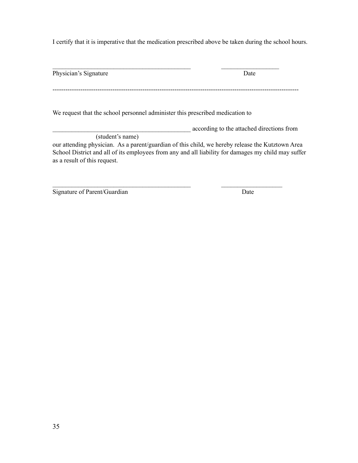I certify that it is imperative that the medication prescribed above be taken during the school hours.

| Physician's Signature                                                         | Date                                                                                                |
|-------------------------------------------------------------------------------|-----------------------------------------------------------------------------------------------------|
| We request that the school personnel administer this prescribed medication to |                                                                                                     |
|                                                                               | according to the attached directions from                                                           |
| (student's name)                                                              |                                                                                                     |
|                                                                               | our attending physician. As a parent/guardian of this child, we hereby release the Kutztown Area    |
|                                                                               |                                                                                                     |
|                                                                               | School District and all of its employees from any and all liability for damages my child may suffer |

 $\mathcal{L}_\text{max} = \frac{1}{2} \sum_{i=1}^n \mathcal{L}_\text{max}(\mathbf{z}_i - \mathbf{z}_i)$ 

Signature of Parent/Guardian Date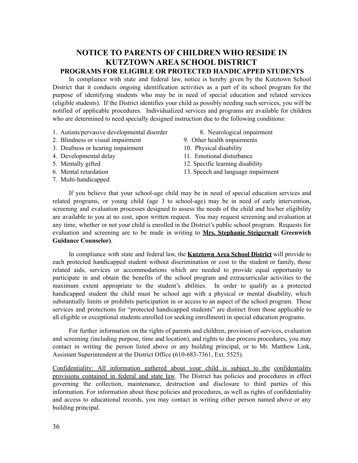#### **NOTICE TO PARENTS OF CHILDREN WHO RESIDE IN KUTZTOWN AREA SCHOOL DISTRICT PROGRAMS FOR ELIGIBLE OR PROTECTED HANDICAPPED STUDENTS**

In compliance with state and federal law, notice is hereby given by the Kutztown School District that it conducts ongoing identification activities as a part of its school program for the purpose of identifying students who may be in need of special education and related services (eligible students). If the District identifies your child as possibly needing such services, you will be notified of applicable procedures. Individualized services and programs are available for children who are determined to need specially designed instruction due to the following conditions:

- 1. Autism/pervasive developmental disorder 8. Neurological impairment
- 2. Blindness or visual impairment 9. Other health impairments
- 3. Deafness or hearing impairment 10. Physical disability
- 4. Developmental delay 11. Emotional disturbance
- 
- 
- 7. Multi-handicapped
- 
- 
- 
- 
- 5. Mentally gifted 12. Specific learning disability
- 6. Mental retardation 13. Speech and language impairment

If you believe that your school-age child may be in need of special education services and related programs, or young child (age 3 to school-age) may be in need of early intervention, screening and evaluation processes designed to assess the needs of the child and his/her eligibility are available to you at no cost, upon written request. You may request screening and evaluation at any time, whether or not your child is enrolled in the District's public school program. Requests for evaluation and screening are to be made in writing to **Mrs. Stephanie Steigerwalt Greenwich Guidance Counselor)**.

In compliance with state and federal law, the **Kutztown Area School District** will provide to each protected handicapped student without discrimination or cost to the student or family, those related aids, services or accommodations which are needed to provide equal opportunity to participate in and obtain the benefits of the school program and extracurricular activities to the maximum extent appropriate to the student's abilities. In order to qualify as a protected handicapped student the child must be school age with a physical or mental disability, which substantially limits or prohibits participation in or access to an aspect of the school program. These services and protections for "protected handicapped students" are distinct from those applicable to all eligible or exceptional students enrolled (or seeking enrollment) in special education programs.

For further information on the rights of parents and children, provision of services, evaluation and screening (including purpose, time and location), and rights to due process procedures, you may contact in writing the person listed above or any building principal, or to Mr. Matthew Link, Assistant Superintendent at the District Office (610-683-7361, Ext. 5525).

Confidentiality: All information gathered about your child is subject to the confidentiality provisions contained in federal and state law. The District has policies and procedures in effect governing the collection, maintenance, destruction and disclosure to third parties of this information. For information about these policies and procedures, as well as rights of confidentiality and access to educational records, you may contact in writing either person named above or any building principal.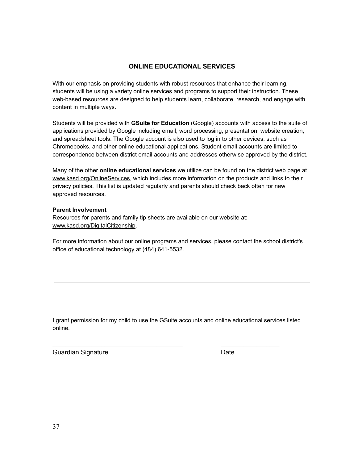#### **ONLINE EDUCATIONAL SERVICES**

With our emphasis on providing students with robust resources that enhance their learning, students will be using a variety online services and programs to support their instruction. These web-based resources are designed to help students learn, collaborate, research, and engage with content in multiple ways.

Students will be provided with **GSuite for Education** (Google) accounts with access to the suite of applications provided by Google including email, word processing, presentation, website creation, and spreadsheet tools. The Google account is also used to log in to other devices, such as Chromebooks, and other online educational applications. Student email accounts are limited to correspondence between district email accounts and addresses otherwise approved by the district.

Many of the other **online educational services** we utilize can be found on the district web page at www.kasd.org/OnlineServices, which includes more information on the products and links to their privacy policies. This list is updated regularly and parents should check back often for new approved resources.

#### **Parent Involvement**

Resources for parents and family tip sheets are available on our website at: www.kasd.org/DigitalCitizenship.

For more information about our online programs and services, please contact the school district's office of educational technology at (484) 641-5532.

I grant permission for my child to use the GSuite accounts and online educational services listed online.

 $\frac{1}{2}$  ,  $\frac{1}{2}$  ,  $\frac{1}{2}$  ,  $\frac{1}{2}$  ,  $\frac{1}{2}$  ,  $\frac{1}{2}$  ,  $\frac{1}{2}$  ,  $\frac{1}{2}$  ,  $\frac{1}{2}$  ,  $\frac{1}{2}$  ,  $\frac{1}{2}$  ,  $\frac{1}{2}$  ,  $\frac{1}{2}$  ,  $\frac{1}{2}$  ,  $\frac{1}{2}$  ,  $\frac{1}{2}$  ,  $\frac{1}{2}$  ,  $\frac{1}{2}$  ,  $\frac{1$ 

Guardian Signature **Date**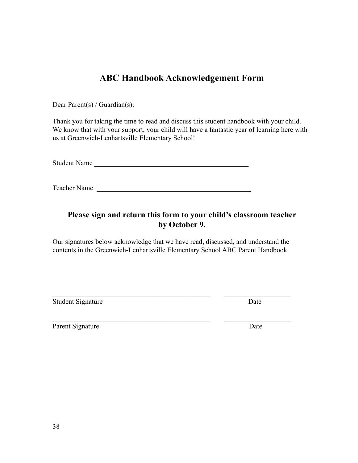## **ABC Handbook Acknowledgement Form**

Dear Parent(s) / Guardian(s):

Thank you for taking the time to read and discuss this student handbook with your child. We know that with your support, your child will have a fantastic year of learning here with us at Greenwich-Lenhartsville Elementary School!

Student Name

Teacher Name

### **Please sign and return this form to your child's classroom teacher by October 9.**

Our signatures below acknowledge that we have read, discussed, and understand the contents in the Greenwich-Lenhartsville Elementary School ABC Parent Handbook.

 $\mathcal{L}_\text{max} = \frac{1}{2} \sum_{i=1}^n \mathcal{L}_\text{max}(\mathbf{z}_i - \mathbf{z}_i)$ 

 $\mathcal{L}_\text{max} = \frac{1}{2} \sum_{i=1}^n \mathcal{L}_\text{max}(\mathbf{z}_i - \mathbf{z}_i)$ 

Student Signature Date

Parent Signature Date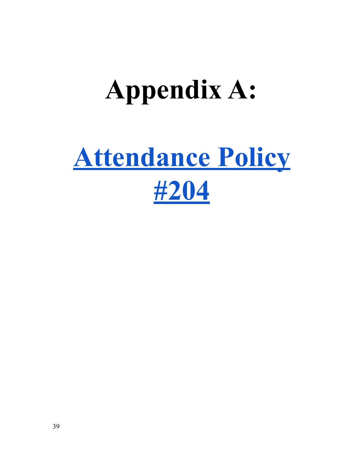## **Appendix A:**

# **[Attendance Policy](https://go.boarddocs.com/pa/kutz/Board.nsf/Public#) [#204](https://go.boarddocs.com/pa/kutz/Board.nsf/Public#)**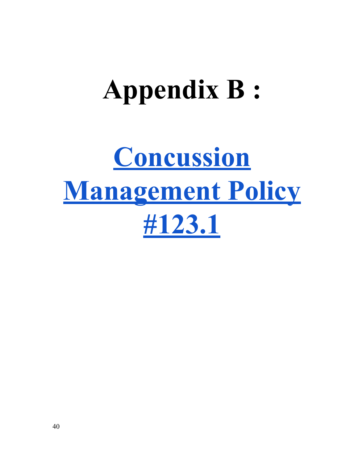# **Appendix B :**

# **[Concussion](https://go.boarddocs.com/pa/kutz/Board.nsf/Public#) [Management Policy](https://go.boarddocs.com/pa/kutz/Board.nsf/Public#) [#123.1](https://go.boarddocs.com/pa/kutz/Board.nsf/Public#)**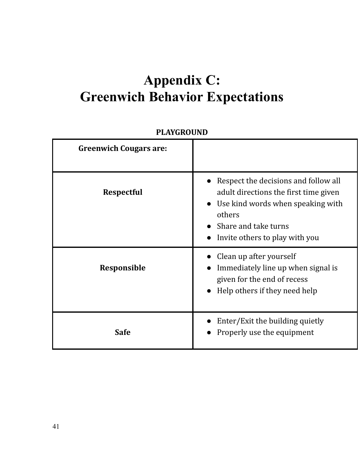## **Appendix C: Greenwich Behavior Expectations**

## **PLAYGROUND**

| <b>Greenwich Cougars are:</b> |                                                                                                                                                                                                     |
|-------------------------------|-----------------------------------------------------------------------------------------------------------------------------------------------------------------------------------------------------|
| <b>Respectful</b>             | Respect the decisions and follow all<br>adult directions the first time given<br>Use kind words when speaking with<br>$\bullet$<br>others<br>Share and take turns<br>Invite others to play with you |
| Responsible                   | Clean up after yourself<br>Immediately line up when signal is<br>given for the end of recess<br>Help others if they need help                                                                       |
| <b>Safe</b>                   | Enter/Exit the building quietly<br>Properly use the equipment                                                                                                                                       |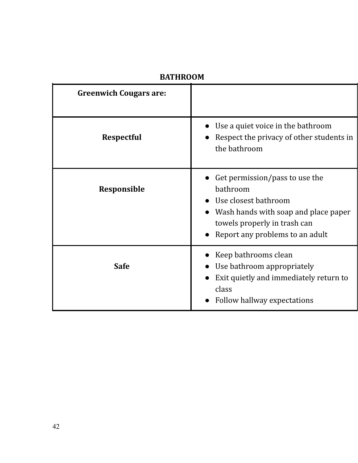| <b>Greenwich Cougars are:</b> |                                                                                                                                                                               |
|-------------------------------|-------------------------------------------------------------------------------------------------------------------------------------------------------------------------------|
| <b>Respectful</b>             | Use a quiet voice in the bathroom<br>Respect the privacy of other students in<br>the bathroom                                                                                 |
| Responsible                   | Get permission/pass to use the<br>bathroom<br>Use closest bathroom<br>Wash hands with soap and place paper<br>towels properly in trash can<br>Report any problems to an adult |
| <b>Safe</b>                   | Keep bathrooms clean<br>Use bathroom appropriately<br>Exit quietly and immediately return to<br>class<br>Follow hallway expectations                                          |

## **BATHROOM**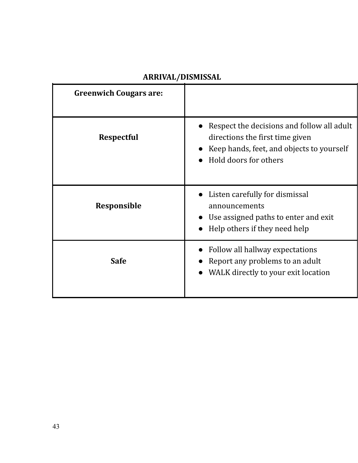| <b>Greenwich Cougars are:</b> |                                                                                                                                                     |
|-------------------------------|-----------------------------------------------------------------------------------------------------------------------------------------------------|
| <b>Respectful</b>             | Respect the decisions and follow all adult<br>directions the first time given<br>Keep hands, feet, and objects to yourself<br>Hold doors for others |
| Responsible                   | Listen carefully for dismissal<br>announcements<br>Use assigned paths to enter and exit<br>$\bullet$<br>Help others if they need help               |
| <b>Safe</b>                   | Follow all hallway expectations<br>Report any problems to an adult<br>WALK directly to your exit location                                           |

## **ARRIVAL/DISMISSAL**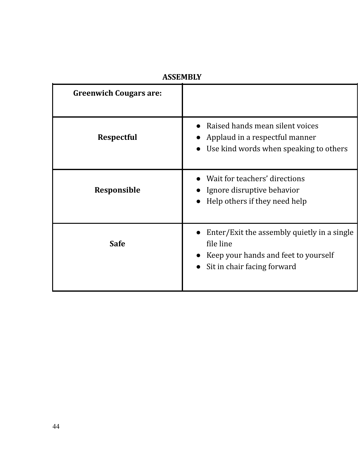| <b>Greenwich Cougars are:</b> |                                                                                                                                 |
|-------------------------------|---------------------------------------------------------------------------------------------------------------------------------|
| <b>Respectful</b>             | Raised hands mean silent voices<br>Applaud in a respectful manner<br>Use kind words when speaking to others                     |
| Responsible                   | Wait for teachers' directions<br>Ignore disruptive behavior<br>Help others if they need help                                    |
| <b>Safe</b>                   | Enter/Exit the assembly quietly in a single<br>file line<br>Keep your hands and feet to yourself<br>Sit in chair facing forward |

## **ASSEMBLY**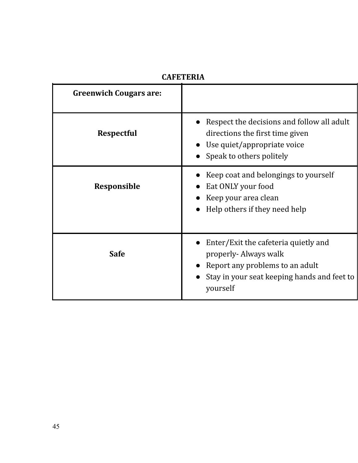| <b>Greenwich Cougars are:</b> |                                                                                                                                                            |
|-------------------------------|------------------------------------------------------------------------------------------------------------------------------------------------------------|
| <b>Respectful</b>             | Respect the decisions and follow all adult<br>directions the first time given<br>Use quiet/appropriate voice<br>Speak to others politely                   |
| <b>Responsible</b>            | Keep coat and belongings to yourself<br>Eat ONLY your food<br>Keep your area clean<br>Help others if they need help                                        |
| <b>Safe</b>                   | Enter/Exit the cafeteria quietly and<br>properly-Always walk<br>Report any problems to an adult<br>Stay in your seat keeping hands and feet to<br>yourself |

## **CAFETERIA**